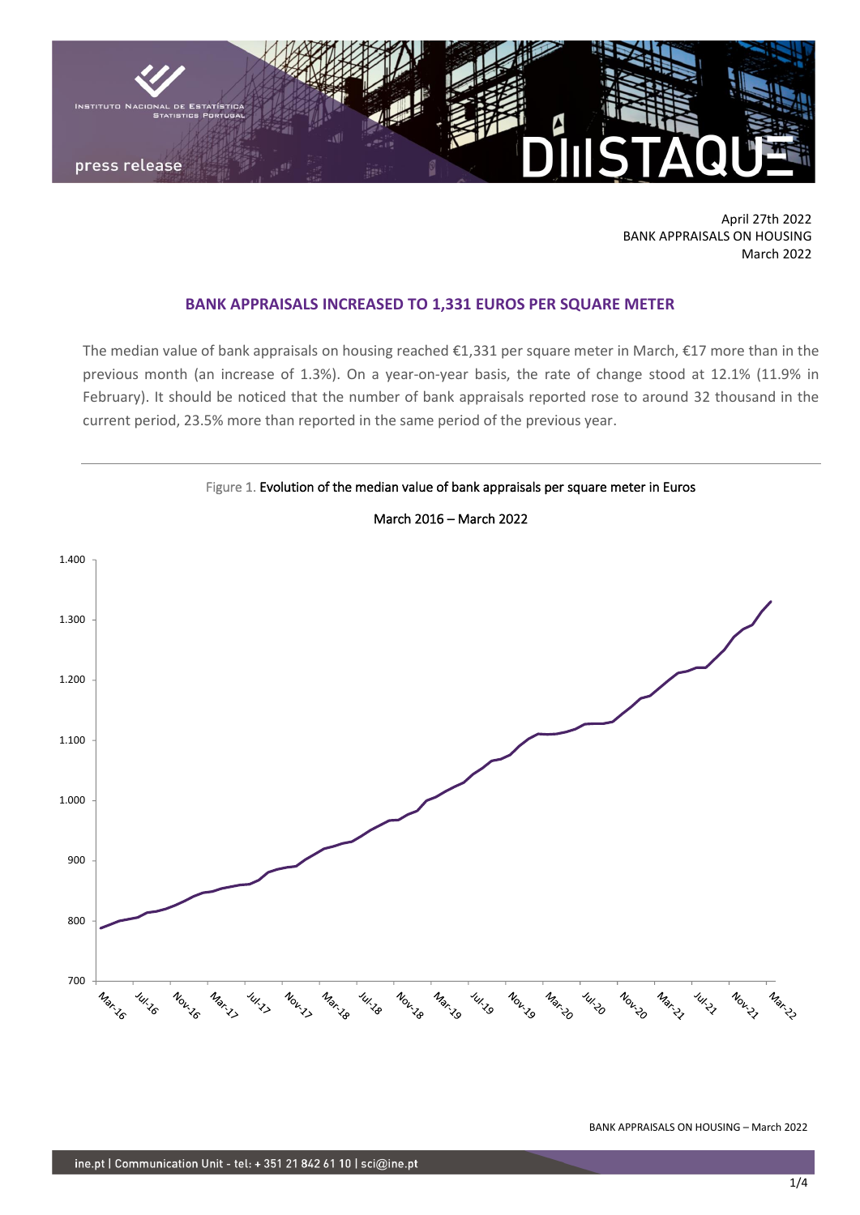

April 27th 2022 BANK APPRAISALS ON HOUSING March 2022

## **BANK APPRAISALS INCREASED TO 1,331 EUROS PER SQUARE METER**

The median value of bank appraisals on housing reached €1,331 per square meter in March, €17 more than in the previous month (an increase of 1.3%). On a year-on-year basis, the rate of change stood at 12.1% (11.9% in February). It should be noticed that the number of bank appraisals reported rose to around 32 thousand in the current period, 23.5% more than reported in the same period of the previous year.



March 2016 – March 2022

Figure 1. Evolution of the median value of bank appraisals per square meter in Euros

BANK APPRAISALS ON HOUSING – March 2022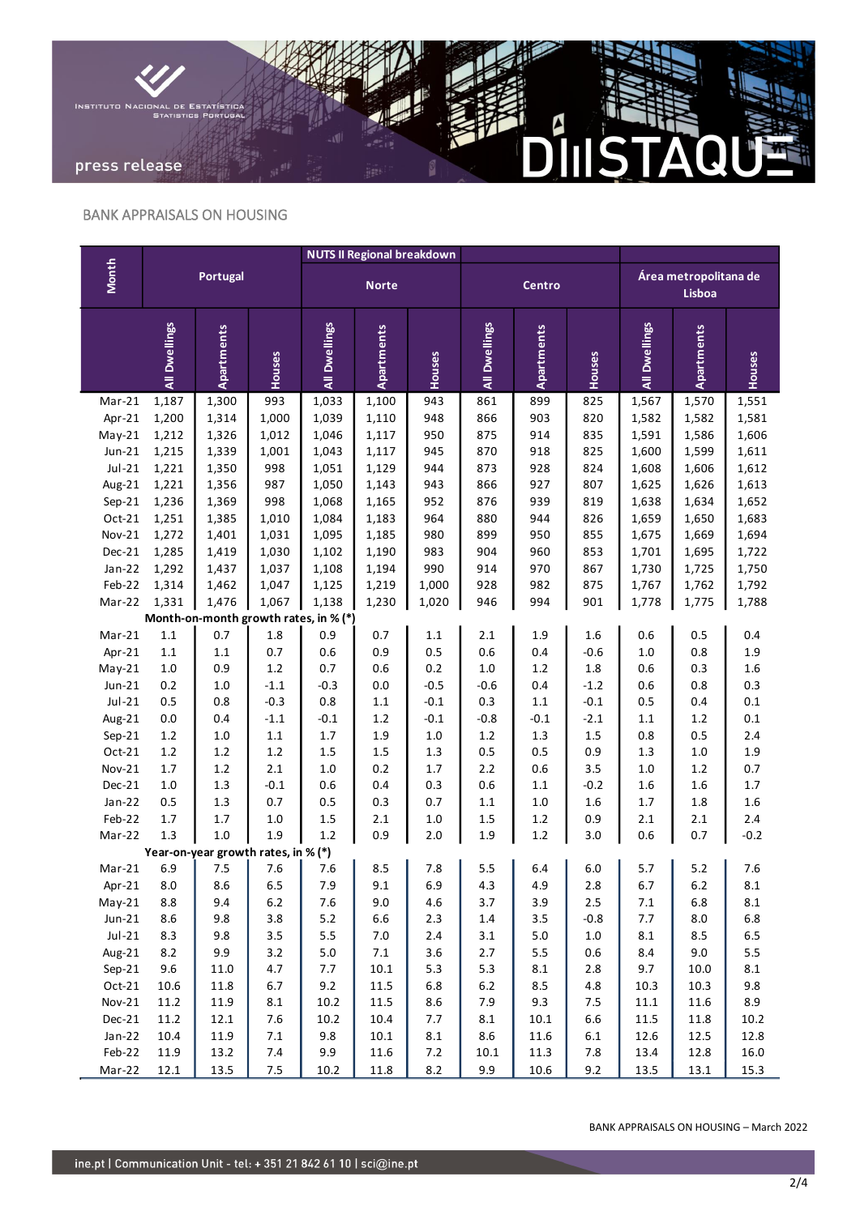

## BANK APPRAISALS ON HOUSING

|                                       | <b>Portugal</b> |                                     |         | <b>NUTS II Regional breakdown</b> |                   |           |               |            |         |                                 |            |         |
|---------------------------------------|-----------------|-------------------------------------|---------|-----------------------------------|-------------------|-----------|---------------|------------|---------|---------------------------------|------------|---------|
| Month                                 |                 |                                     |         | <b>Norte</b>                      |                   |           | Centro        |            |         | Área metropolitana de<br>Lisboa |            |         |
|                                       | All Dwellings   | Apartments                          | Houses  | All Dwellings                     | <b>Apartments</b> | Houses    | All Dwellings | Apartments | Houses  | All Dwellings                   | Apartments | Houses  |
| Mar-21                                | 1,187           | 1,300                               | 993     | 1,033                             | 1,100             | 943       | 861           | 899        | 825     | 1,567                           | 1,570      | 1,551   |
| Apr-21                                | 1,200           | 1,314                               | 1,000   | 1,039                             | 1,110             | 948       | 866           | 903        | 820     | 1,582                           | 1,582      | 1,581   |
| $May-21$                              | 1,212           | 1,326                               | 1,012   | 1,046                             | 1,117             | 950       | 875           | 914        | 835     | 1,591                           | 1,586      | 1,606   |
| $Jun-21$                              | 1,215           | 1,339                               | 1,001   | 1,043                             | 1,117             | 945       | 870           | 918        | 825     | 1,600                           | 1,599      | 1,611   |
| $Jul-21$                              | 1,221           | 1,350                               | 998     | 1,051                             | 1,129             | 944       | 873           | 928        | 824     | 1,608                           | 1,606      | 1,612   |
| Aug-21                                | 1,221           | 1,356                               | 987     | 1,050                             | 1,143             | 943       | 866           | 927        | 807     | 1,625                           | 1,626      | 1,613   |
| Sep-21                                | 1,236           | 1,369                               | 998     | 1,068                             | 1,165             | 952       | 876           | 939        | 819     | 1,638                           | 1,634      | 1,652   |
| Oct-21                                | 1,251           | 1,385                               | 1,010   | 1,084                             | 1,183             | 964       | 880           | 944        | 826     | 1,659                           | 1,650      | 1,683   |
| <b>Nov-21</b>                         | 1,272           | 1,401                               | 1,031   | 1,095                             | 1,185             | 980       | 899           | 950        | 855     | 1,675                           | 1,669      | 1,694   |
| Dec-21                                | 1,285           | 1,419                               | 1,030   | 1,102                             | 1,190             | 983       | 904           | 960        | 853     | 1,701                           | 1,695      | 1,722   |
| $Jan-22$                              | 1,292           | 1,437                               | 1,037   | 1,108                             | 1,194             | 990       | 914           | 970        | 867     | 1,730                           | 1,725      | 1,750   |
| Feb-22                                | 1,314           | 1,462                               | 1,047   | 1,125                             | 1,219             | 1,000     | 928           | 982        | 875     | 1,767                           | 1,762      | 1,792   |
| Mar-22                                | 1,331           | 1,476                               | 1,067   | 1,138                             | 1,230             | 1,020     | 946           | 994        | 901     | 1,778                           | 1,775      | 1,788   |
| Month-on-month growth rates, in % (*) |                 |                                     |         |                                   |                   |           |               |            |         |                                 |            |         |
| $Mar-21$                              | $1.1\,$         | 0.7                                 | 1.8     | 0.9                               | 0.7               | $1.1\,$   | 2.1           | 1.9        | 1.6     | 0.6                             | 0.5        | 0.4     |
| Apr-21                                | 1.1             | $1.1\,$                             | 0.7     | 0.6                               | 0.9               | 0.5       | 0.6           | 0.4        | $-0.6$  | $1.0\,$                         | 0.8        | 1.9     |
| $May-21$                              | $1.0\,$         | 0.9                                 | $1.2\,$ | 0.7                               | 0.6               | 0.2       | $1.0\,$       | $1.2\,$    | 1.8     | 0.6                             | 0.3        | 1.6     |
| $Jun-21$                              | 0.2             | $1.0\,$                             | $-1.1$  | $-0.3$                            | $0.0\,$           | $-0.5$    | $-0.6$        | 0.4        | $-1.2$  | 0.6                             | 0.8        | 0.3     |
| $Jul-21$                              | 0.5             | 0.8                                 | $-0.3$  | 0.8                               | $1.1\,$           | $-0.1$    | 0.3           | $1.1\,$    | $-0.1$  | 0.5                             | 0.4        | 0.1     |
| Aug-21                                | 0.0             | 0.4                                 | $-1.1$  | $-0.1$                            | $1.2\,$           | $-0.1$    | $-0.8$        | $-0.1$     | $-2.1$  | 1.1                             | $1.2\,$    | $0.1\,$ |
| $Sep-21$                              | $1.2\,$         | 1.0                                 | $1.1\,$ | $1.7\,$                           | $1.9\,$           | $1.0$     | $1.2\,$       | $1.3\,$    | 1.5     | 0.8                             | 0.5        | $2.4$   |
| Oct-21                                | $1.2\,$         | $1.2\,$                             | $1.2\,$ | $1.5\,$                           | $1.5\,$           | $1.3\,$   | 0.5           | 0.5        | 0.9     | 1.3                             | $1.0\,$    | 1.9     |
| Nov-21                                | 1.7             | $1.2\,$                             | 2.1     | $1.0\,$                           | 0.2               | $1.7\,$   | 2.2           | 0.6        | 3.5     | $1.0\,$                         | $1.2\,$    | 0.7     |
| Dec-21                                | $1.0\,$         | 1.3                                 | $-0.1$  | 0.6                               | 0.4               | 0.3       | 0.6           | $1.1\,$    | $-0.2$  | 1.6                             | 1.6        | $1.7\,$ |
| $Jan-22$                              | 0.5             | 1.3                                 | 0.7     | 0.5                               | 0.3               | 0.7       | $1.1\,$       | $1.0\,$    | 1.6     | 1.7                             | 1.8        | 1.6     |
| Feb-22                                | $1.7\,$         | 1.7                                 | 1.0     | 1.5                               | 2.1               | 1.0       | 1.5           | $1.2\,$    | 0.9     | 2.1                             | 2.1        | 2.4     |
| Mar-22                                | 1.3             | 1.0                                 | 1.9     | $1.2\,$                           | 0.9               | 2.0       | 1.9           | 1.2        | 3.0     | 0.6                             | 0.7        | $-0.2$  |
|                                       |                 | Year-on-year growth rates, in % (*) |         |                                   |                   |           |               |            |         |                                 |            |         |
| $Mar-21$                              | 6.9             | 7.5                                 | 7.6     | 7.6                               | 8.5               | 7.8       | 5.5           | 6.4        | 6.0     | 5.7                             | 5.2        | 7.6     |
| Apr-21                                | 8.0             | 8.6                                 | 6.5     | 7.9                               | 9.1               | 6.9       | 4.3           | 4.9        | 2.8     | 6.7                             | $6.2$      | 8.1     |
| $May-21$                              | 8.8             | 9.4                                 | $6.2\,$ | 7.6                               | 9.0               | 4.6       | 3.7           | 3.9        | 2.5     | $7.1$                           | 6.8        | 8.1     |
| $Jun-21$                              | $8.6\,$         | 9.8                                 | 3.8     | $5.2$                             | 6.6               | $2.3$     | $1.4\,$       | 3.5        | $-0.8$  | 7.7                             | 8.0        | $6.8\,$ |
| $Jul-21$                              | 8.3             | 9.8                                 | 3.5     | 5.5                               | $7.0\,$           | $2.4$     | 3.1           | $5.0\,$    | $1.0\,$ | $8.1\,$                         | 8.5        | 6.5     |
| Aug-21                                | 8.2             | 9.9                                 | 3.2     | $5.0\,$                           | $7.1\,$           | 3.6       | 2.7           | $5.5\,$    | $0.6\,$ | 8.4                             | 9.0        | 5.5     |
| $Sep-21$                              | 9.6             | 11.0                                | 4.7     | 7.7                               | $10.1\,$          | 5.3       | 5.3           | $\bf 8.1$  | 2.8     | 9.7                             | 10.0       | 8.1     |
| $Oct-21$                              | 10.6            | 11.8                                | 6.7     | 9.2                               | 11.5              | 6.8       | $6.2\,$       | 8.5        | 4.8     | 10.3                            | 10.3       | 9.8     |
| $Nov-21$                              | 11.2            | 11.9                                | 8.1     | 10.2                              | 11.5              | 8.6       | 7.9           | 9.3        | 7.5     | $11.1\,$                        | 11.6       | 8.9     |
| $Dec-21$                              | 11.2            | 12.1                                | 7.6     | 10.2                              | 10.4              | 7.7       | $8.1\,$       | 10.1       | 6.6     | 11.5                            | 11.8       | 10.2    |
| $Jan-22$                              | 10.4            | 11.9                                | $7.1\,$ | 9.8                               | $10.1\,$          | $\bf 8.1$ | 8.6           | 11.6       | $6.1\,$ | 12.6                            | 12.5       | 12.8    |
| Feb-22                                | 11.9            | 13.2                                | 7.4     | 9.9                               | 11.6              | $7.2\,$   | 10.1          | 11.3       | 7.8     | 13.4                            | 12.8       | 16.0    |
| Mar-22                                | 12.1            | 13.5                                | $7.5$   | 10.2                              | 11.8              | 8.2       | 9.9           | 10.6       | 9.2     | 13.5                            | 13.1       | 15.3    |
|                                       |                 |                                     |         |                                   |                   |           |               |            |         |                                 |            |         |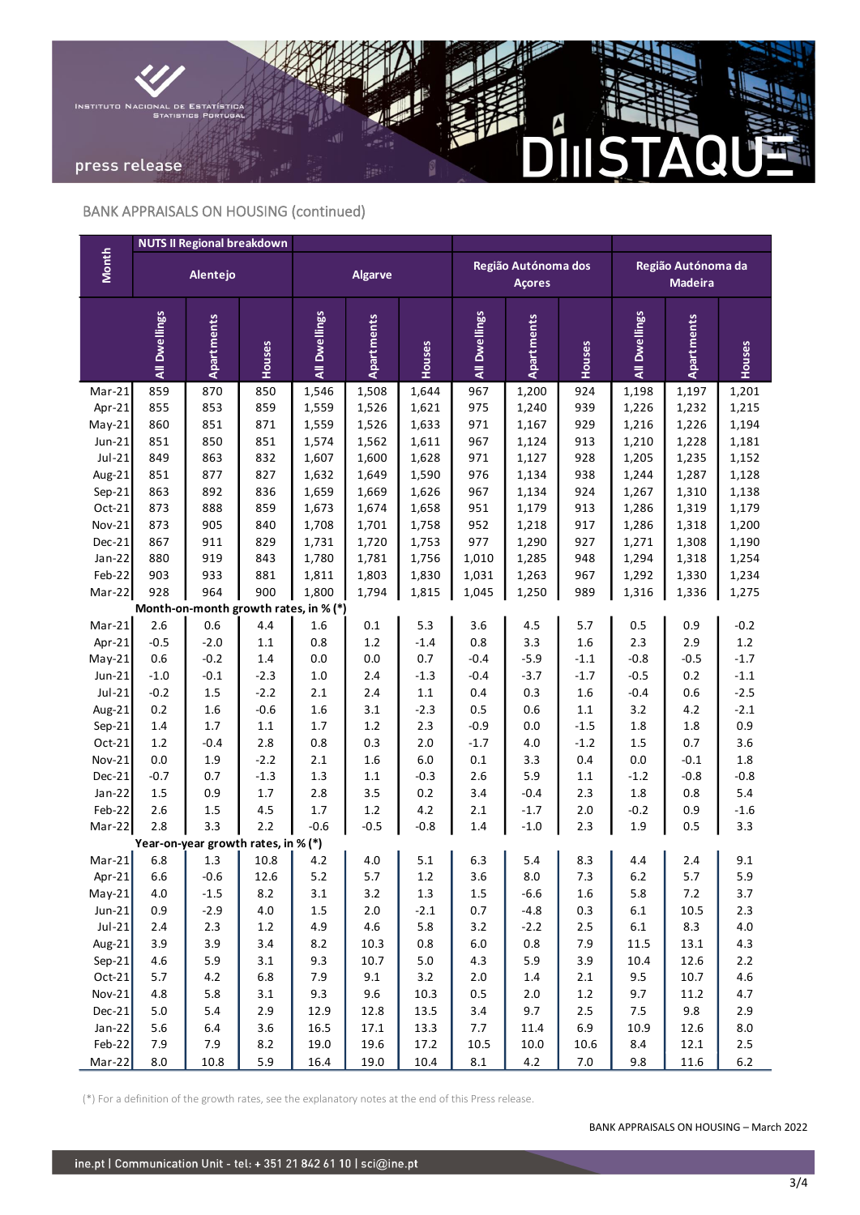

# BANK APPRAISALS ON HOUSING (continued)

|                                       | <b>NUTS II Regional breakdown</b> |                                     |            |                |            |         |                                      |                   |            |                                      |            |         |
|---------------------------------------|-----------------------------------|-------------------------------------|------------|----------------|------------|---------|--------------------------------------|-------------------|------------|--------------------------------------|------------|---------|
| <b>Month</b>                          |                                   | Alentejo                            |            | <b>Algarve</b> |            |         | Região Autónoma dos<br><b>Açores</b> |                   |            | Região Autónoma da<br><b>Madeira</b> |            |         |
|                                       | All Dwellings                     | <b>Apartments</b>                   | Houses     | All Dwellings  | Apartments | Houses  | All Dwellings                        | <b>Apartments</b> | Houses     | All Dwellings                        | Apartments | Houses  |
| $Mar-21$                              | 859                               | 870                                 | 850        | 1,546          | 1,508      | 1,644   | 967                                  | 1,200             | 924        | 1,198                                | 1,197      | 1,201   |
| Apr-21                                | 855                               | 853                                 | 859        | 1,559          | 1,526      | 1,621   | 975                                  | 1,240             | 939        | 1,226                                | 1,232      | 1,215   |
| $May-21$                              | 860                               | 851                                 | 871        | 1,559          | 1,526      | 1,633   | 971                                  | 1,167             | 929        | 1,216                                | 1,226      | 1,194   |
| $Jun-21$                              | 851                               | 850                                 | 851        | 1,574          | 1,562      | 1,611   | 967                                  | 1,124             | 913        | 1,210                                | 1,228      | 1,181   |
| $Jul-21$                              | 849                               | 863                                 | 832        | 1,607          | 1,600      | 1,628   | 971                                  | 1,127             | 928        | 1,205                                | 1,235      | 1,152   |
| Aug-21                                | 851                               | 877                                 | 827        | 1,632          | 1,649      | 1,590   | 976                                  | 1,134             | 938        | 1,244                                | 1,287      | 1,128   |
| Sep-21                                | 863                               | 892                                 | 836        | 1,659          | 1,669      | 1,626   | 967                                  | 1,134             | 924        | 1,267                                | 1,310      | 1,138   |
| Oct-21                                | 873                               | 888                                 | 859        | 1,673          | 1,674      | 1,658   | 951                                  | 1,179             | 913        | 1,286                                | 1,319      | 1,179   |
| <b>Nov-21</b>                         | 873                               | 905                                 | 840        | 1,708          | 1,701      | 1,758   | 952                                  | 1,218             | 917        | 1,286                                | 1,318      | 1,200   |
| Dec-21                                | 867                               | 911                                 | 829        | 1,731          | 1,720      | 1,753   | 977                                  | 1,290             | 927        | 1,271                                | 1,308      | 1,190   |
| $Jan-22$                              | 880                               | 919                                 | 843        | 1,780          | 1,781      | 1,756   | 1,010                                | 1,285             | 948        | 1,294                                | 1,318      | 1,254   |
| Feb-22                                | 903                               | 933                                 | 881        | 1,811          | 1,803      | 1,830   | 1,031                                | 1,263             | 967        | 1,292                                | 1,330      | 1,234   |
| Mar-22                                | 928                               | 964                                 | 900        | 1,800          | 1,794      | 1,815   | 1,045                                | 1,250             | 989        | 1,316                                | 1,336      | 1,275   |
| Month-on-month growth rates, in % (*) |                                   |                                     |            |                |            |         |                                      |                   |            |                                      |            |         |
| $Mar-21$                              | 2.6                               | 0.6                                 | 4.4        | 1.6            | $0.1\,$    | 5.3     | 3.6                                  | 4.5               | 5.7        | 0.5                                  | 0.9        | $-0.2$  |
| Apr-21                                | $-0.5$                            | $-2.0$                              | $1.1\,$    | $0.8\,$        | $1.2\,$    | $-1.4$  | $0.8\,$                              | 3.3               | 1.6        | 2.3                                  | 2.9        | 1.2     |
| $May-21$                              | 0.6                               | $-0.2$                              | $1.4\,$    | 0.0            | 0.0        | 0.7     | $-0.4$                               | $-5.9$            | $-1.1$     | $-0.8$                               | $-0.5$     | $-1.7$  |
| $Jun-21$                              | $-1.0$                            | $-0.1$                              | $-2.3$     | $1.0\,$        | 2.4        | $-1.3$  | $-0.4$                               | $-3.7$            | $-1.7$     | $-0.5$                               | 0.2        | $-1.1$  |
| $Jul-21$                              | $-0.2$                            | 1.5                                 | $-2.2$     | $2.1\,$        | 2.4        | $1.1\,$ | 0.4                                  | 0.3               | 1.6        | $-0.4$                               | 0.6        | $-2.5$  |
| Aug-21                                | 0.2                               | 1.6                                 | $-0.6$     | 1.6            | 3.1        | $-2.3$  | $0.5\,$                              | 0.6               | $1.1\,$    | 3.2                                  | 4.2        | $-2.1$  |
| $Sep-21$                              | 1.4                               | $1.7$                               | $1.1\,$    | $1.7$          | $1.2\,$    | 2.3     | $-0.9$                               | 0.0               | $-1.5$     | 1.8                                  | 1.8        | 0.9     |
| Oct-21                                | $1.2\,$                           | $-0.4$                              | 2.8        | 0.8            | 0.3        | 2.0     | $-1.7$                               | 4.0               | $-1.2$     | 1.5                                  | 0.7        | 3.6     |
| <b>Nov-21</b>                         | 0.0                               | 1.9                                 | $-2.2$     | 2.1            | 1.6        | 6.0     | $0.1\,$                              | 3.3               | 0.4        | 0.0                                  | $-0.1$     | 1.8     |
| Dec-21                                | $-0.7$                            | 0.7                                 | $-1.3$     | 1.3            | $1.1\,$    | $-0.3$  | 2.6                                  | 5.9               | $1.1\,$    | $-1.2$                               | $-0.8$     | $-0.8$  |
| $Jan-22$                              | 1.5                               | 0.9                                 | $1.7\,$    | 2.8            | 3.5        | 0.2     | 3.4                                  | $-0.4$            | 2.3        | 1.8                                  | 0.8        | 5.4     |
| Feb-22                                | 2.6                               | 1.5<br>3.3                          | 4.5<br>2.2 | 1.7            | $1.2\,$    | 4.2     | 2.1                                  | $-1.7$            | 2.0<br>2.3 | $-0.2$                               | 0.9        | $-1.6$  |
| $Mar-22$                              | 2.8                               | Year-on-year growth rates, in % (*) |            | $-0.6$         | $-0.5$     | $-0.8$  | 1.4                                  | $-1.0$            |            | 1.9                                  | 0.5        | 3.3     |
| $Mar-21$                              | 6.8                               | 1.3                                 | 10.8       | 4.2            | 4.0        | 5.1     | 6.3                                  | 5.4               | 8.3        | 4.4                                  | 2.4        | 9.1     |
| Apr-21                                | 6.6                               | $-0.6$                              | 12.6       | 5.2            | 5.7        | 1.2     | 3.6                                  | 8.0               | 7.3        | 6.2                                  | 5.7        | 5.9     |
| $May-21$                              | 4.0                               | $-1.5$                              | 8.2        | 3.1            | 3.2        | 1.3     | $1.5\,$                              | $-6.6$            | $1.6\,$    | 5.8                                  | $7.2\,$    | 3.7     |
| $Jun-21$                              | 0.9                               | $-2.9$                              | $4.0\,$    | $1.5\,$        | $2.0\,$    | $-2.1$  | $0.7\,$                              | $-4.8$            | 0.3        | $6.1\,$                              | 10.5       | 2.3     |
| $Jul-21$                              | $2.4$                             | $2.3$                               | $1.2\,$    | 4.9            | $4.6\,$    | 5.8     | 3.2                                  | $-2.2$            | $2.5$      | $6.1\,$                              | 8.3        | $4.0\,$ |
| Aug- $21$                             | 3.9                               | 3.9                                 | 3.4        | 8.2            | 10.3       | 0.8     | $6.0\,$                              | 0.8               | 7.9        | 11.5                                 | 13.1       | 4.3     |
| $Sep-21$                              | 4.6                               | 5.9                                 | 3.1        | 9.3            | $10.7\,$   | $5.0\,$ | 4.3                                  | 5.9               | 3.9        | 10.4                                 | 12.6       | $2.2\,$ |
| $Oct-21$                              | $5.7\,$                           | $4.2\,$                             | $6.8\,$    | 7.9            | 9.1        | 3.2     | $2.0\,$                              | $1.4\,$           | $2.1\,$    | 9.5                                  | 10.7       | 4.6     |
| Nov-21                                | $4.8\,$                           | 5.8                                 | 3.1        | 9.3            | 9.6        | 10.3    | $0.5\,$                              | $2.0\,$           | $1.2\,$    | 9.7                                  | 11.2       | 4.7     |
| $Dec-21$                              | $5.0\,$                           | 5.4                                 | $2.9\,$    | 12.9           | 12.8       | 13.5    | 3.4                                  | 9.7               | $2.5\,$    | 7.5                                  | 9.8        | 2.9     |
| $Jan-22$                              | $5.6\,$                           | $6.4\,$                             | 3.6        | 16.5           | 17.1       | 13.3    | 7.7                                  | 11.4              | $6.9\,$    | 10.9                                 | 12.6       | $8.0\,$ |
| Feb-22                                | 7.9                               | 7.9                                 | $8.2\,$    | 19.0           | 19.6       | 17.2    | 10.5                                 | 10.0              | 10.6       | $8.4\,$                              | 12.1       | 2.5     |
| Mar-22                                | $8.0\,$                           | 10.8                                | 5.9        | 16.4           | 19.0       | 10.4    | $\bf 8.1$                            | 4.2               | $7.0\,$    | 9.8                                  | 11.6       | $6.2\,$ |
|                                       |                                   |                                     |            |                |            |         |                                      |                   |            |                                      |            |         |

(\*) For a definition of the growth rates, see the explanatory notes at the end of this Press release.